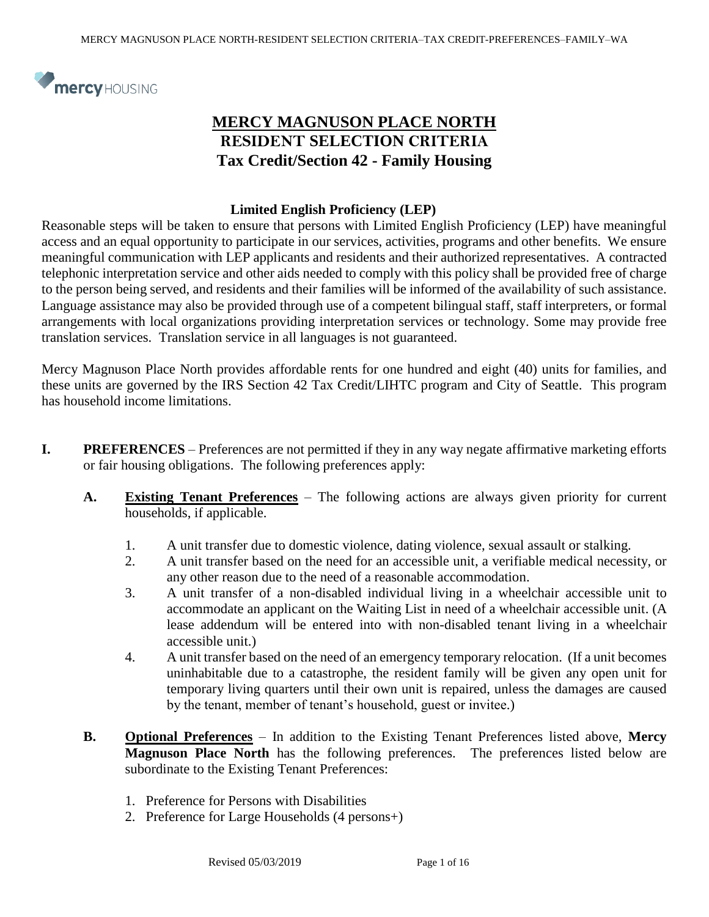

# **MERCY MAGNUSON PLACE NORTH RESIDENT SELECTION CRITERIA Tax Credit/Section 42 - Family Housing**

#### **Limited English Proficiency (LEP)**

Reasonable steps will be taken to ensure that persons with Limited English Proficiency (LEP) have meaningful access and an equal opportunity to participate in our services, activities, programs and other benefits. We ensure meaningful communication with LEP applicants and residents and their authorized representatives. A contracted telephonic interpretation service and other aids needed to comply with this policy shall be provided free of charge to the person being served, and residents and their families will be informed of the availability of such assistance. Language assistance may also be provided through use of a competent bilingual staff, staff interpreters, or formal arrangements with local organizations providing interpretation services or technology. Some may provide free translation services. Translation service in all languages is not guaranteed.

Mercy Magnuson Place North provides affordable rents for one hundred and eight (40) units for families, and these units are governed by the IRS Section 42 Tax Credit/LIHTC program and City of Seattle. This program has household income limitations.

- **I. PREFERENCES** Preferences are not permitted if they in any way negate affirmative marketing efforts or fair housing obligations. The following preferences apply:
	- **A. Existing Tenant Preferences** The following actions are always given priority for current households, if applicable.
		- 1. A unit transfer due to domestic violence, dating violence, sexual assault or stalking.
		- 2. A unit transfer based on the need for an accessible unit, a verifiable medical necessity, or any other reason due to the need of a reasonable accommodation.
		- 3. A unit transfer of a non-disabled individual living in a wheelchair accessible unit to accommodate an applicant on the Waiting List in need of a wheelchair accessible unit. (A lease addendum will be entered into with non-disabled tenant living in a wheelchair accessible unit.)
		- 4. A unit transfer based on the need of an emergency temporary relocation. (If a unit becomes uninhabitable due to a catastrophe, the resident family will be given any open unit for temporary living quarters until their own unit is repaired, unless the damages are caused by the tenant, member of tenant's household, guest or invitee.)
	- **B. Optional Preferences** In addition to the Existing Tenant Preferences listed above, **Mercy Magnuson Place North** has the following preferences. The preferences listed below are subordinate to the Existing Tenant Preferences:
		- 1. Preference for Persons with Disabilities
		- 2. Preference for Large Households (4 persons+)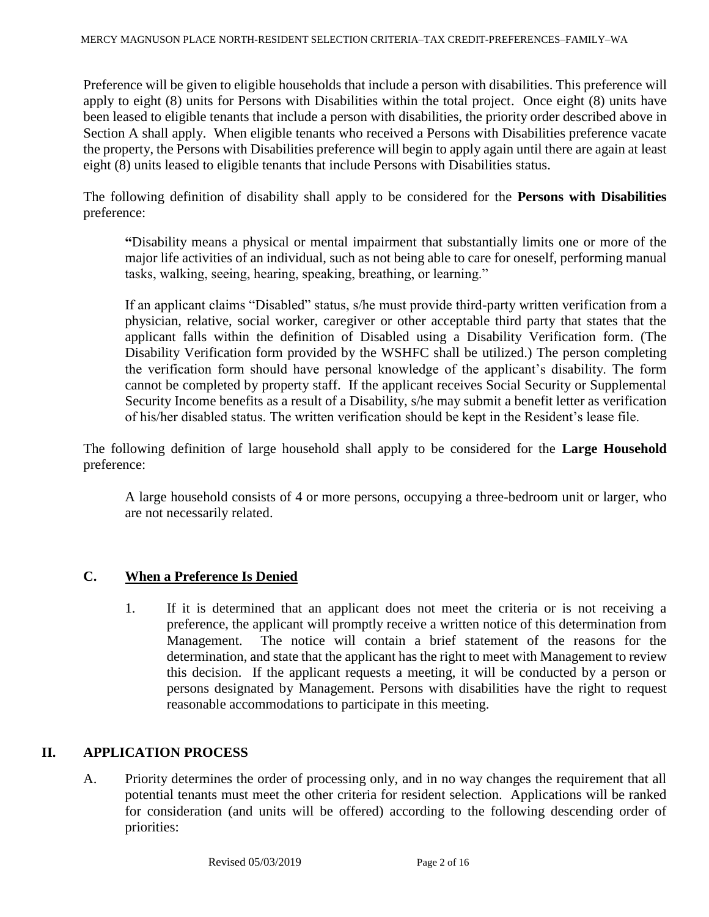Preference will be given to eligible households that include a person with disabilities. This preference will apply to eight (8) units for Persons with Disabilities within the total project. Once eight (8) units have been leased to eligible tenants that include a person with disabilities, the priority order described above in Section A shall apply. When eligible tenants who received a Persons with Disabilities preference vacate the property, the Persons with Disabilities preference will begin to apply again until there are again at least eight (8) units leased to eligible tenants that include Persons with Disabilities status.

The following definition of disability shall apply to be considered for the **Persons with Disabilities** preference:

**"**Disability means a physical or mental impairment that substantially limits one or more of the major life activities of an individual, such as not being able to care for oneself, performing manual tasks, walking, seeing, hearing, speaking, breathing, or learning."

If an applicant claims "Disabled" status, s/he must provide third-party written verification from a physician, relative, social worker, caregiver or other acceptable third party that states that the applicant falls within the definition of Disabled using a Disability Verification form. (The Disability Verification form provided by the WSHFC shall be utilized.) The person completing the verification form should have personal knowledge of the applicant's disability. The form cannot be completed by property staff. If the applicant receives Social Security or Supplemental Security Income benefits as a result of a Disability, s/he may submit a benefit letter as verification of his/her disabled status. The written verification should be kept in the Resident's lease file.

The following definition of large household shall apply to be considered for the **Large Household** preference:

A large household consists of 4 or more persons, occupying a three-bedroom unit or larger, who are not necessarily related.

# **C. When a Preference Is Denied**

1. If it is determined that an applicant does not meet the criteria or is not receiving a preference, the applicant will promptly receive a written notice of this determination from Management. The notice will contain a brief statement of the reasons for the determination, and state that the applicant has the right to meet with Management to review this decision. If the applicant requests a meeting, it will be conducted by a person or persons designated by Management. Persons with disabilities have the right to request reasonable accommodations to participate in this meeting.

# **II. APPLICATION PROCESS**

A. Priority determines the order of processing only, and in no way changes the requirement that all potential tenants must meet the other criteria for resident selection. Applications will be ranked for consideration (and units will be offered) according to the following descending order of priorities: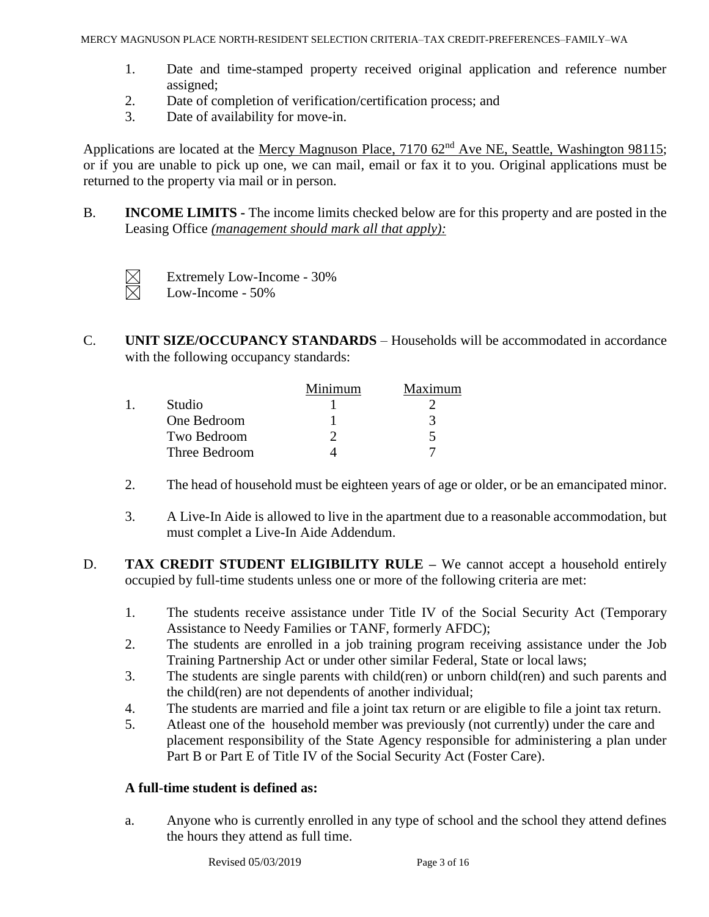- 1. Date and time-stamped property received original application and reference number assigned;
- 2. Date of completion of verification/certification process; and
- 3. Date of availability for move-in.

Applications are located at the Mercy Magnuson Place, 7170 62<sup>nd</sup> Ave NE, Seattle, Washington 98115; or if you are unable to pick up one, we can mail, email or fax it to you. Original applications must be returned to the property via mail or in person.

B. **INCOME LIMITS -** The income limits checked below are for this property and are posted in the Leasing Office *(management should mark all that apply):* 



Extremely Low-Income - 30% Low-Income - 50%

C. **UNIT SIZE/OCCUPANCY STANDARDS** – Households will be accommodated in accordance with the following occupancy standards:

|  |               | Minimum | Maximum |
|--|---------------|---------|---------|
|  | Studio        |         |         |
|  | One Bedroom   |         | 3       |
|  | Two Bedroom   |         |         |
|  | Three Bedroom |         |         |

- 2. The head of household must be eighteen years of age or older, or be an emancipated minor.
- 3. A Live-In Aide is allowed to live in the apartment due to a reasonable accommodation, but must complet a Live-In Aide Addendum.
- D. **TAX CREDIT STUDENT ELIGIBILITY RULE –** We cannot accept a household entirely occupied by full-time students unless one or more of the following criteria are met:
	- 1. The students receive assistance under Title IV of the Social Security Act (Temporary Assistance to Needy Families or TANF, formerly AFDC);
	- 2. The students are enrolled in a job training program receiving assistance under the Job Training Partnership Act or under other similar Federal, State or local laws;
	- 3. The students are single parents with child(ren) or unborn child(ren) and such parents and the child(ren) are not dependents of another individual;
	- 4. The students are married and file a joint tax return or are eligible to file a joint tax return.
	- 5. Atleast one of the household member was previously (not currently) under the care and placement responsibility of the State Agency responsible for administering a plan under Part B or Part E of Title IV of the Social Security Act (Foster Care).

#### **A full-time student is defined as:**

a. Anyone who is currently enrolled in any type of school and the school they attend defines the hours they attend as full time.

Revised 05/03/2019 Page 3 of 16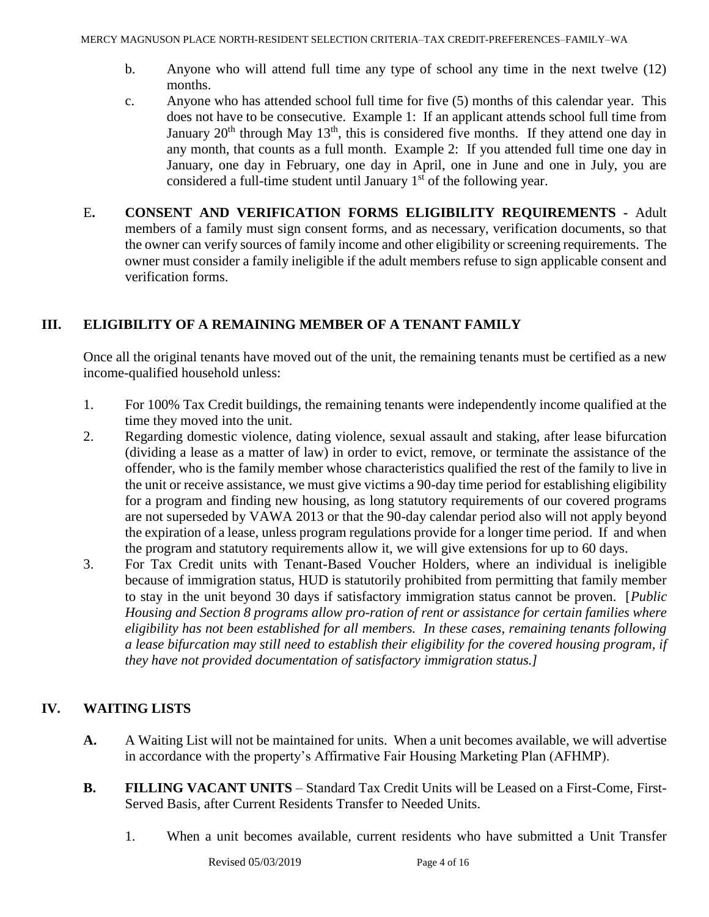- b. Anyone who will attend full time any type of school any time in the next twelve (12) months.
- c. Anyone who has attended school full time for five (5) months of this calendar year. This does not have to be consecutive. Example 1: If an applicant attends school full time from January  $20<sup>th</sup>$  through May  $13<sup>th</sup>$ , this is considered five months. If they attend one day in any month, that counts as a full month. Example 2: If you attended full time one day in January, one day in February, one day in April, one in June and one in July, you are considered a full-time student until January  $1<sup>st</sup>$  of the following year.
- E**. CONSENT AND VERIFICATION FORMS ELIGIBILITY REQUIREMENTS -** Adult members of a family must sign consent forms, and as necessary, verification documents, so that the owner can verify sources of family income and other eligibility or screening requirements. The owner must consider a family ineligible if the adult members refuse to sign applicable consent and verification forms.

# **III. ELIGIBILITY OF A REMAINING MEMBER OF A TENANT FAMILY**

Once all the original tenants have moved out of the unit, the remaining tenants must be certified as a new income-qualified household unless:

- 1. For 100% Tax Credit buildings, the remaining tenants were independently income qualified at the time they moved into the unit.
- 2. Regarding domestic violence, dating violence, sexual assault and staking, after lease bifurcation (dividing a lease as a matter of law) in order to evict, remove, or terminate the assistance of the offender, who is the family member whose characteristics qualified the rest of the family to live in the unit or receive assistance, we must give victims a 90-day time period for establishing eligibility for a program and finding new housing, as long statutory requirements of our covered programs are not superseded by VAWA 2013 or that the 90-day calendar period also will not apply beyond the expiration of a lease, unless program regulations provide for a longer time period. If and when the program and statutory requirements allow it, we will give extensions for up to 60 days.
- 3. For Tax Credit units with Tenant-Based Voucher Holders, where an individual is ineligible because of immigration status, HUD is statutorily prohibited from permitting that family member to stay in the unit beyond 30 days if satisfactory immigration status cannot be proven. [*Public Housing and Section 8 programs allow pro-ration of rent or assistance for certain families where eligibility has not been established for all members. In these cases, remaining tenants following a lease bifurcation may still need to establish their eligibility for the covered housing program, if they have not provided documentation of satisfactory immigration status.]*

# **IV. WAITING LISTS**

- **A.** A Waiting List will not be maintained for units. When a unit becomes available, we will advertise in accordance with the property's Affirmative Fair Housing Marketing Plan (AFHMP).
- **B. FILLING VACANT UNITS** Standard Tax Credit Units will be Leased on a First-Come, First-Served Basis, after Current Residents Transfer to Needed Units.
	- 1. When a unit becomes available, current residents who have submitted a Unit Transfer

Revised 05/03/2019 Page 4 of 16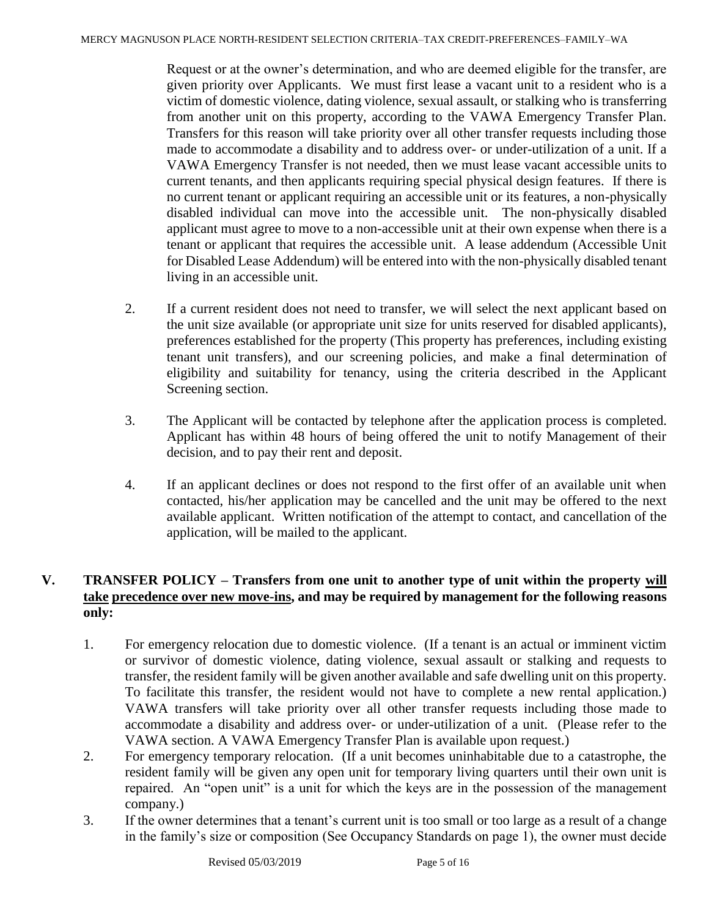Request or at the owner's determination, and who are deemed eligible for the transfer, are given priority over Applicants. We must first lease a vacant unit to a resident who is a victim of domestic violence, dating violence, sexual assault, or stalking who is transferring from another unit on this property, according to the VAWA Emergency Transfer Plan. Transfers for this reason will take priority over all other transfer requests including those made to accommodate a disability and to address over- or under-utilization of a unit. If a VAWA Emergency Transfer is not needed, then we must lease vacant accessible units to current tenants, and then applicants requiring special physical design features. If there is no current tenant or applicant requiring an accessible unit or its features, a non-physically disabled individual can move into the accessible unit. The non-physically disabled applicant must agree to move to a non-accessible unit at their own expense when there is a tenant or applicant that requires the accessible unit. A lease addendum (Accessible Unit for Disabled Lease Addendum) will be entered into with the non-physically disabled tenant living in an accessible unit.

- 2. If a current resident does not need to transfer, we will select the next applicant based on the unit size available (or appropriate unit size for units reserved for disabled applicants), preferences established for the property (This property has preferences, including existing tenant unit transfers), and our screening policies, and make a final determination of eligibility and suitability for tenancy, using the criteria described in the Applicant Screening section.
- 3. The Applicant will be contacted by telephone after the application process is completed. Applicant has within 48 hours of being offered the unit to notify Management of their decision, and to pay their rent and deposit.
- 4. If an applicant declines or does not respond to the first offer of an available unit when contacted, his/her application may be cancelled and the unit may be offered to the next available applicant. Written notification of the attempt to contact, and cancellation of the application, will be mailed to the applicant.

# **V. TRANSFER POLICY – Transfers from one unit to another type of unit within the property will take precedence over new move-ins, and may be required by management for the following reasons only:**

- 1. For emergency relocation due to domestic violence. (If a tenant is an actual or imminent victim or survivor of domestic violence, dating violence, sexual assault or stalking and requests to transfer, the resident family will be given another available and safe dwelling unit on this property. To facilitate this transfer, the resident would not have to complete a new rental application.) VAWA transfers will take priority over all other transfer requests including those made to accommodate a disability and address over- or under-utilization of a unit. (Please refer to the VAWA section. A VAWA Emergency Transfer Plan is available upon request.)
- 2. For emergency temporary relocation. (If a unit becomes uninhabitable due to a catastrophe, the resident family will be given any open unit for temporary living quarters until their own unit is repaired. An "open unit" is a unit for which the keys are in the possession of the management company.)
- 3. If the owner determines that a tenant's current unit is too small or too large as a result of a change in the family's size or composition (See Occupancy Standards on page 1), the owner must decide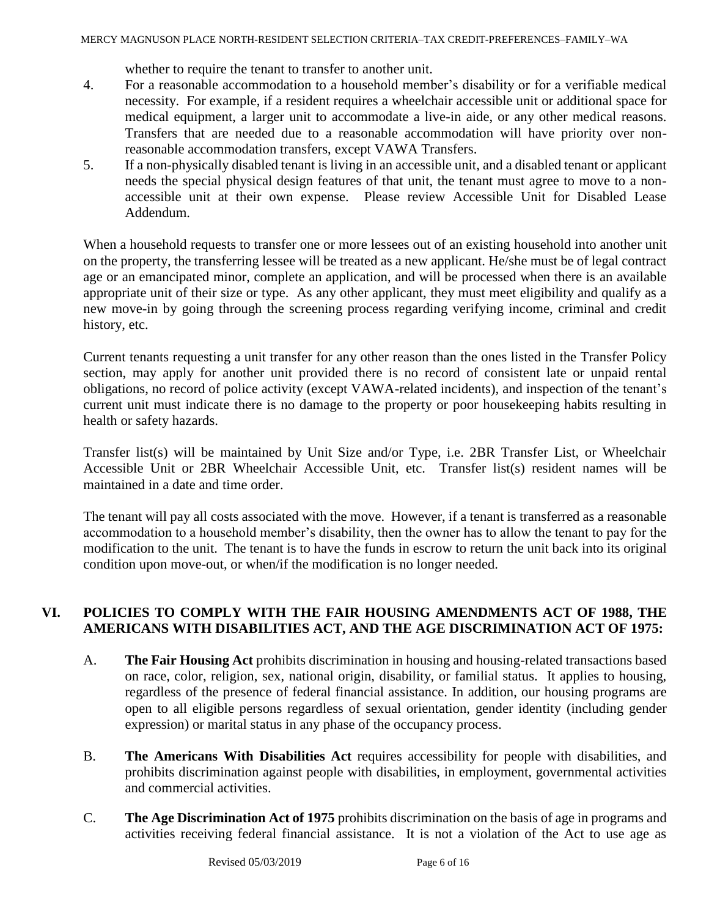whether to require the tenant to transfer to another unit.

- 4. For a reasonable accommodation to a household member's disability or for a verifiable medical necessity. For example, if a resident requires a wheelchair accessible unit or additional space for medical equipment, a larger unit to accommodate a live-in aide, or any other medical reasons. Transfers that are needed due to a reasonable accommodation will have priority over nonreasonable accommodation transfers, except VAWA Transfers.
- 5. If a non-physically disabled tenant is living in an accessible unit, and a disabled tenant or applicant needs the special physical design features of that unit, the tenant must agree to move to a nonaccessible unit at their own expense. Please review Accessible Unit for Disabled Lease Addendum.

When a household requests to transfer one or more lessees out of an existing household into another unit on the property, the transferring lessee will be treated as a new applicant. He/she must be of legal contract age or an emancipated minor, complete an application, and will be processed when there is an available appropriate unit of their size or type. As any other applicant, they must meet eligibility and qualify as a new move-in by going through the screening process regarding verifying income, criminal and credit history, etc.

Current tenants requesting a unit transfer for any other reason than the ones listed in the Transfer Policy section, may apply for another unit provided there is no record of consistent late or unpaid rental obligations, no record of police activity (except VAWA-related incidents), and inspection of the tenant's current unit must indicate there is no damage to the property or poor housekeeping habits resulting in health or safety hazards.

Transfer list(s) will be maintained by Unit Size and/or Type, i.e. 2BR Transfer List, or Wheelchair Accessible Unit or 2BR Wheelchair Accessible Unit, etc. Transfer list(s) resident names will be maintained in a date and time order.

The tenant will pay all costs associated with the move. However, if a tenant is transferred as a reasonable accommodation to a household member's disability, then the owner has to allow the tenant to pay for the modification to the unit. The tenant is to have the funds in escrow to return the unit back into its original condition upon move-out, or when/if the modification is no longer needed.

# **VI. POLICIES TO COMPLY WITH THE FAIR HOUSING AMENDMENTS ACT OF 1988, THE AMERICANS WITH DISABILITIES ACT, AND THE AGE DISCRIMINATION ACT OF 1975:**

- A. **The Fair Housing Act** prohibits discrimination in housing and housing-related transactions based on race, color, religion, sex, national origin, disability, or familial status. It applies to housing, regardless of the presence of federal financial assistance. In addition, our housing programs are open to all eligible persons regardless of sexual orientation, gender identity (including gender expression) or marital status in any phase of the occupancy process.
- B. **The Americans With Disabilities Act** requires accessibility for people with disabilities, and prohibits discrimination against people with disabilities, in employment, governmental activities and commercial activities.
- C. **The Age Discrimination Act of 1975** prohibits discrimination on the basis of age in programs and activities receiving federal financial assistance. It is not a violation of the Act to use age as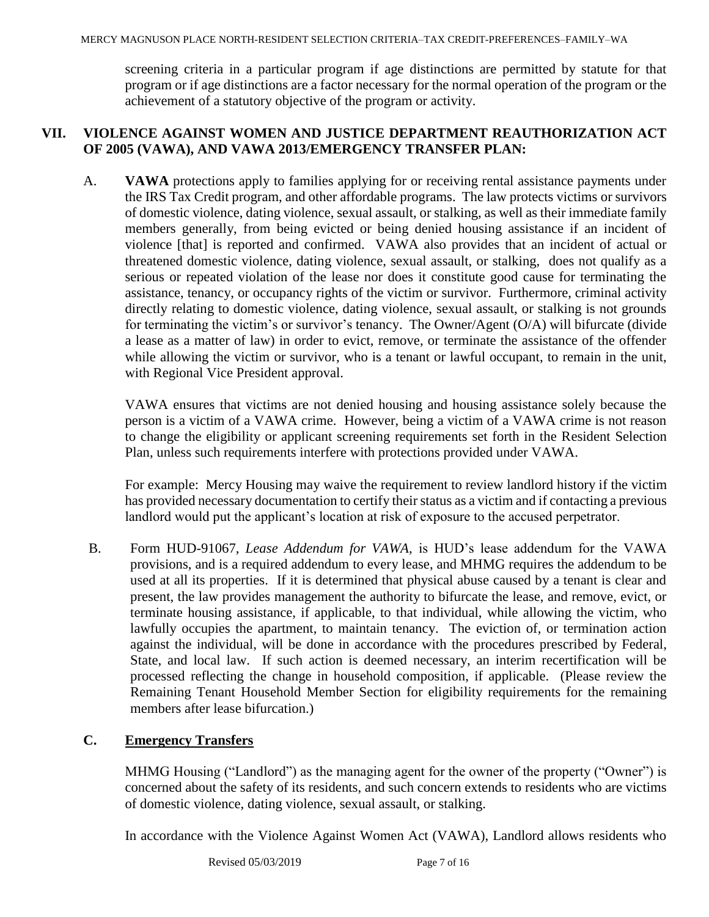screening criteria in a particular program if age distinctions are permitted by statute for that program or if age distinctions are a factor necessary for the normal operation of the program or the achievement of a statutory objective of the program or activity.

### **VII. VIOLENCE AGAINST WOMEN AND JUSTICE DEPARTMENT REAUTHORIZATION ACT OF 2005 (VAWA), AND VAWA 2013/EMERGENCY TRANSFER PLAN:**

A. **VAWA** protections apply to families applying for or receiving rental assistance payments under the IRS Tax Credit program, and other affordable programs. The law protects victims or survivors of domestic violence, dating violence, sexual assault, or stalking, as well as their immediate family members generally, from being evicted or being denied housing assistance if an incident of violence [that] is reported and confirmed. VAWA also provides that an incident of actual or threatened domestic violence, dating violence, sexual assault, or stalking, does not qualify as a serious or repeated violation of the lease nor does it constitute good cause for terminating the assistance, tenancy, or occupancy rights of the victim or survivor. Furthermore, criminal activity directly relating to domestic violence, dating violence, sexual assault, or stalking is not grounds for terminating the victim's or survivor's tenancy. The Owner/Agent (O/A) will bifurcate (divide a lease as a matter of law) in order to evict, remove, or terminate the assistance of the offender while allowing the victim or survivor, who is a tenant or lawful occupant, to remain in the unit, with Regional Vice President approval.

VAWA ensures that victims are not denied housing and housing assistance solely because the person is a victim of a VAWA crime. However, being a victim of a VAWA crime is not reason to change the eligibility or applicant screening requirements set forth in the Resident Selection Plan, unless such requirements interfere with protections provided under VAWA.

For example: Mercy Housing may waive the requirement to review landlord history if the victim has provided necessary documentation to certify their status as a victim and if contacting a previous landlord would put the applicant's location at risk of exposure to the accused perpetrator.

B. Form HUD-91067, *Lease Addendum for VAWA,* is HUD's lease addendum for the VAWA provisions, and is a required addendum to every lease, and MHMG requires the addendum to be used at all its properties. If it is determined that physical abuse caused by a tenant is clear and present, the law provides management the authority to bifurcate the lease, and remove, evict, or terminate housing assistance, if applicable, to that individual, while allowing the victim, who lawfully occupies the apartment, to maintain tenancy. The eviction of, or termination action against the individual, will be done in accordance with the procedures prescribed by Federal, State, and local law. If such action is deemed necessary, an interim recertification will be processed reflecting the change in household composition, if applicable. (Please review the Remaining Tenant Household Member Section for eligibility requirements for the remaining members after lease bifurcation.)

# **C. Emergency Transfers**

MHMG Housing ("Landlord") as the managing agent for the owner of the property ("Owner") is concerned about the safety of its residents, and such concern extends to residents who are victims of domestic violence, dating violence, sexual assault, or stalking.

In accordance with the Violence Against Women Act (VAWA), Landlord allows residents who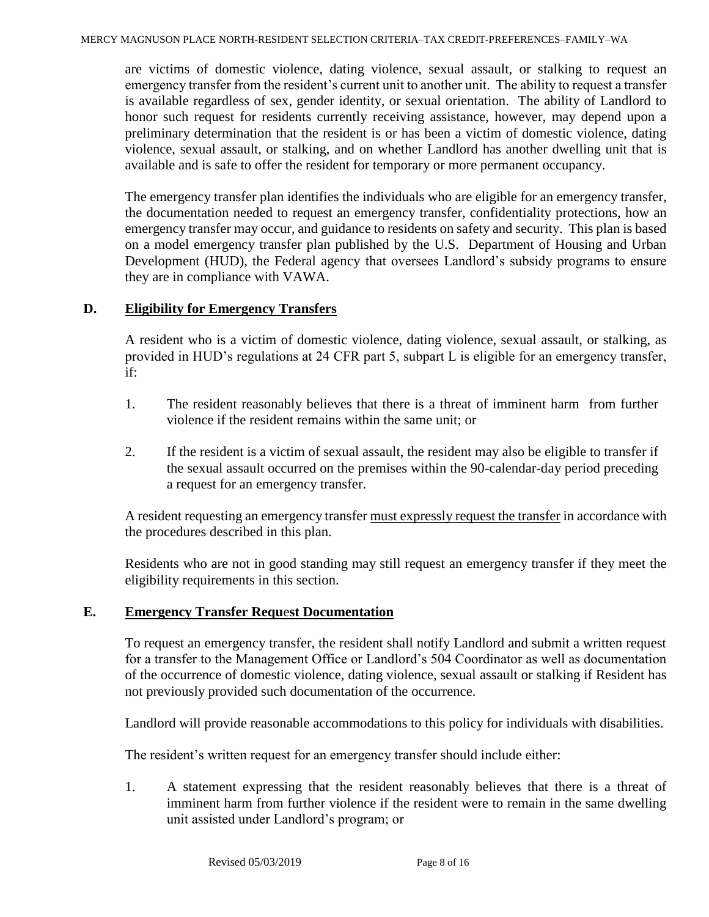are victims of domestic violence, dating violence, sexual assault, or stalking to request an emergency transfer from the resident's current unit to another unit. The ability to request a transfer is available regardless of sex, gender identity, or sexual orientation. The ability of Landlord to honor such request for residents currently receiving assistance, however, may depend upon a preliminary determination that the resident is or has been a victim of domestic violence, dating violence, sexual assault, or stalking, and on whether Landlord has another dwelling unit that is available and is safe to offer the resident for temporary or more permanent occupancy.

The emergency transfer plan identifies the individuals who are eligible for an emergency transfer, the documentation needed to request an emergency transfer, confidentiality protections, how an emergency transfer may occur, and guidance to residents on safety and security. This plan is based on a model emergency transfer plan published by the U.S. Department of Housing and Urban Development (HUD), the Federal agency that oversees Landlord's subsidy programs to ensure they are in compliance with VAWA.

### **D. Eligibility for Emergency Transfers**

A resident who is a victim of domestic violence, dating violence, sexual assault, or stalking, as provided in HUD's regulations at 24 CFR part 5, subpart L is eligible for an emergency transfer, if:

- 1. The resident reasonably believes that there is a threat of imminent harm from further violence if the resident remains within the same unit; or
- 2. If the resident is a victim of sexual assault, the resident may also be eligible to transfer if the sexual assault occurred on the premises within the 90-calendar-day period preceding a request for an emergency transfer.

A resident requesting an emergency transfer must expressly request the transfer in accordance with the procedures described in this plan.

Residents who are not in good standing may still request an emergency transfer if they meet the eligibility requirements in this section.

#### **E. Emergency Transfer Requ**e**st Documentation**

To request an emergency transfer, the resident shall notify Landlord and submit a written request for a transfer to the Management Office or Landlord's 504 Coordinator as well as documentation of the occurrence of domestic violence, dating violence, sexual assault or stalking if Resident has not previously provided such documentation of the occurrence.

Landlord will provide reasonable accommodations to this policy for individuals with disabilities.

The resident's written request for an emergency transfer should include either:

1. A statement expressing that the resident reasonably believes that there is a threat of imminent harm from further violence if the resident were to remain in the same dwelling unit assisted under Landlord's program; or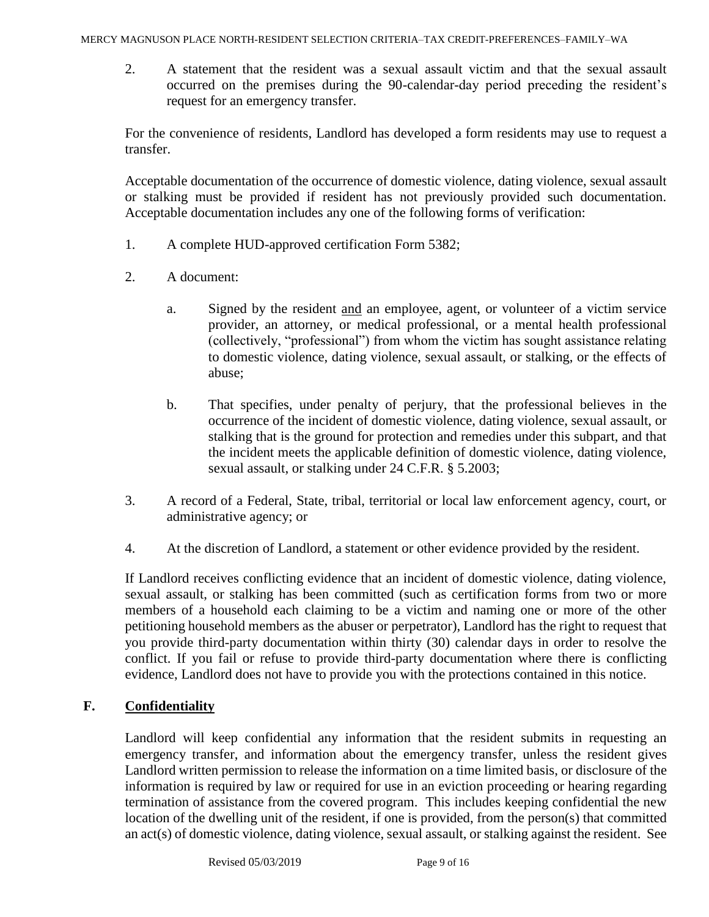2. A statement that the resident was a sexual assault victim and that the sexual assault occurred on the premises during the 90-calendar-day period preceding the resident's request for an emergency transfer.

For the convenience of residents, Landlord has developed a form residents may use to request a transfer.

Acceptable documentation of the occurrence of domestic violence, dating violence, sexual assault or stalking must be provided if resident has not previously provided such documentation. Acceptable documentation includes any one of the following forms of verification:

- 1. A complete HUD-approved certification Form 5382;
- 2. A document:
	- a. Signed by the resident and an employee, agent, or volunteer of a victim service provider, an attorney, or medical professional, or a mental health professional (collectively, "professional") from whom the victim has sought assistance relating to domestic violence, dating violence, sexual assault, or stalking, or the effects of abuse;
	- b. That specifies, under penalty of perjury, that the professional believes in the occurrence of the incident of domestic violence, dating violence, sexual assault, or stalking that is the ground for protection and remedies under this subpart, and that the incident meets the applicable definition of domestic violence, dating violence, sexual assault, or stalking under 24 C.F.R. § 5.2003;
- 3. A record of a Federal, State, tribal, territorial or local law enforcement agency, court, or administrative agency; or
- 4. At the discretion of Landlord, a statement or other evidence provided by the resident.

If Landlord receives conflicting evidence that an incident of domestic violence, dating violence, sexual assault, or stalking has been committed (such as certification forms from two or more members of a household each claiming to be a victim and naming one or more of the other petitioning household members as the abuser or perpetrator), Landlord has the right to request that you provide third-party documentation within thirty (30) calendar days in order to resolve the conflict. If you fail or refuse to provide third-party documentation where there is conflicting evidence, Landlord does not have to provide you with the protections contained in this notice.

# **F. Confidentiality**

Landlord will keep confidential any information that the resident submits in requesting an emergency transfer, and information about the emergency transfer, unless the resident gives Landlord written permission to release the information on a time limited basis, or disclosure of the information is required by law or required for use in an eviction proceeding or hearing regarding termination of assistance from the covered program. This includes keeping confidential the new location of the dwelling unit of the resident, if one is provided, from the person(s) that committed an act(s) of domestic violence, dating violence, sexual assault, or stalking against the resident. See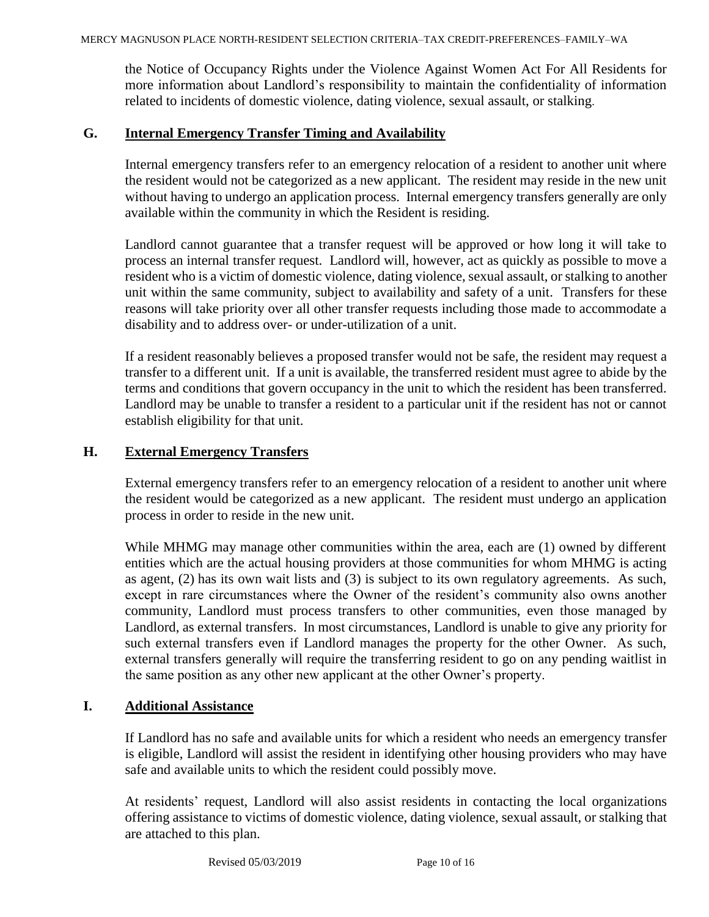the Notice of Occupancy Rights under the Violence Against Women Act For All Residents for more information about Landlord's responsibility to maintain the confidentiality of information related to incidents of domestic violence, dating violence, sexual assault, or stalking.

#### **G. Internal Emergency Transfer Timing and Availability**

Internal emergency transfers refer to an emergency relocation of a resident to another unit where the resident would not be categorized as a new applicant. The resident may reside in the new unit without having to undergo an application process. Internal emergency transfers generally are only available within the community in which the Resident is residing.

Landlord cannot guarantee that a transfer request will be approved or how long it will take to process an internal transfer request. Landlord will, however, act as quickly as possible to move a resident who is a victim of domestic violence, dating violence, sexual assault, or stalking to another unit within the same community, subject to availability and safety of a unit. Transfers for these reasons will take priority over all other transfer requests including those made to accommodate a disability and to address over- or under-utilization of a unit.

If a resident reasonably believes a proposed transfer would not be safe, the resident may request a transfer to a different unit. If a unit is available, the transferred resident must agree to abide by the terms and conditions that govern occupancy in the unit to which the resident has been transferred. Landlord may be unable to transfer a resident to a particular unit if the resident has not or cannot establish eligibility for that unit.

#### **H. External Emergency Transfers**

External emergency transfers refer to an emergency relocation of a resident to another unit where the resident would be categorized as a new applicant. The resident must undergo an application process in order to reside in the new unit.

While MHMG may manage other communities within the area, each are (1) owned by different entities which are the actual housing providers at those communities for whom MHMG is acting as agent, (2) has its own wait lists and (3) is subject to its own regulatory agreements. As such, except in rare circumstances where the Owner of the resident's community also owns another community, Landlord must process transfers to other communities, even those managed by Landlord, as external transfers. In most circumstances, Landlord is unable to give any priority for such external transfers even if Landlord manages the property for the other Owner. As such, external transfers generally will require the transferring resident to go on any pending waitlist in the same position as any other new applicant at the other Owner's property.

#### **I. Additional Assistance**

If Landlord has no safe and available units for which a resident who needs an emergency transfer is eligible, Landlord will assist the resident in identifying other housing providers who may have safe and available units to which the resident could possibly move.

At residents' request, Landlord will also assist residents in contacting the local organizations offering assistance to victims of domestic violence, dating violence, sexual assault, or stalking that are attached to this plan.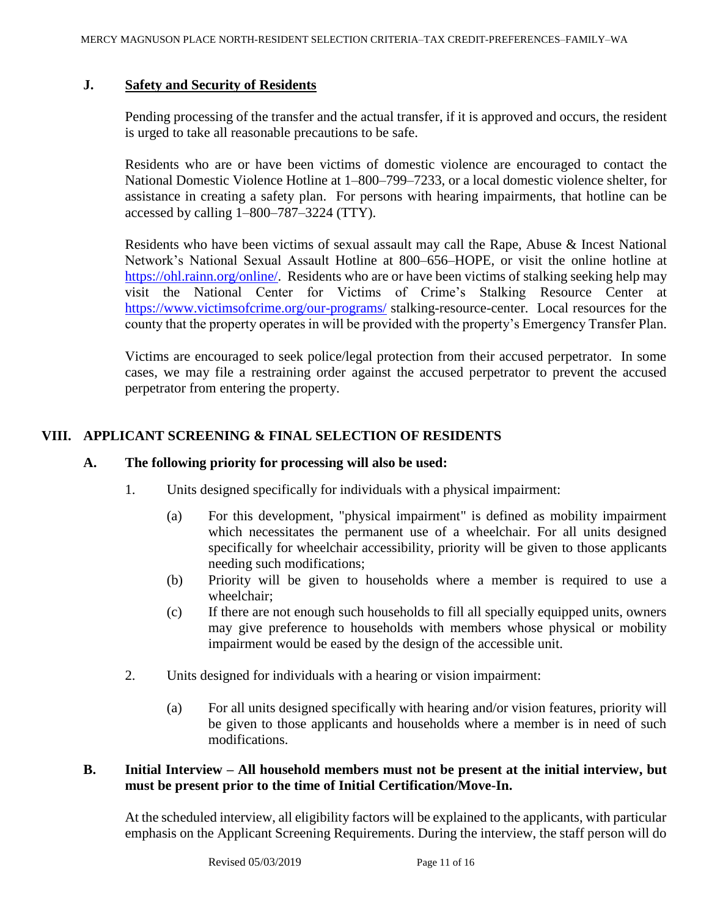#### **J. Safety and Security of Residents**

Pending processing of the transfer and the actual transfer, if it is approved and occurs, the resident is urged to take all reasonable precautions to be safe.

Residents who are or have been victims of domestic violence are encouraged to contact the National Domestic Violence Hotline at 1–800–799–7233, or a local domestic violence shelter, for assistance in creating a safety plan. For persons with hearing impairments, that hotline can be accessed by calling 1–800–787–3224 (TTY).

Residents who have been victims of sexual assault may call the Rape, Abuse & Incest National Network's National Sexual Assault Hotline at 800–656–HOPE, or visit the online hotline at [https://ohl.rainn.org/online/.](https://ohl.rainn.org/online/) Residents who are or have been victims of stalking seeking help may visit the National Center for Victims of Crime's Stalking Resource Center at <https://www.victimsofcrime.org/our-programs/> stalking-resource-center. Local resources for the county that the property operates in will be provided with the property's Emergency Transfer Plan.

Victims are encouraged to seek police/legal protection from their accused perpetrator. In some cases, we may file a restraining order against the accused perpetrator to prevent the accused perpetrator from entering the property.

# **VIII. APPLICANT SCREENING & FINAL SELECTION OF RESIDENTS**

#### **A. The following priority for processing will also be used:**

- 1. Units designed specifically for individuals with a physical impairment:
	- (a) For this development, "physical impairment" is defined as mobility impairment which necessitates the permanent use of a wheelchair. For all units designed specifically for wheelchair accessibility, priority will be given to those applicants needing such modifications;
	- (b) Priority will be given to households where a member is required to use a wheelchair;
	- (c) If there are not enough such households to fill all specially equipped units, owners may give preference to households with members whose physical or mobility impairment would be eased by the design of the accessible unit.
- 2. Units designed for individuals with a hearing or vision impairment:
	- (a) For all units designed specifically with hearing and/or vision features, priority will be given to those applicants and households where a member is in need of such modifications.

#### **B. Initial Interview – All household members must not be present at the initial interview, but must be present prior to the time of Initial Certification/Move-In.**

At the scheduled interview, all eligibility factors will be explained to the applicants, with particular emphasis on the Applicant Screening Requirements. During the interview, the staff person will do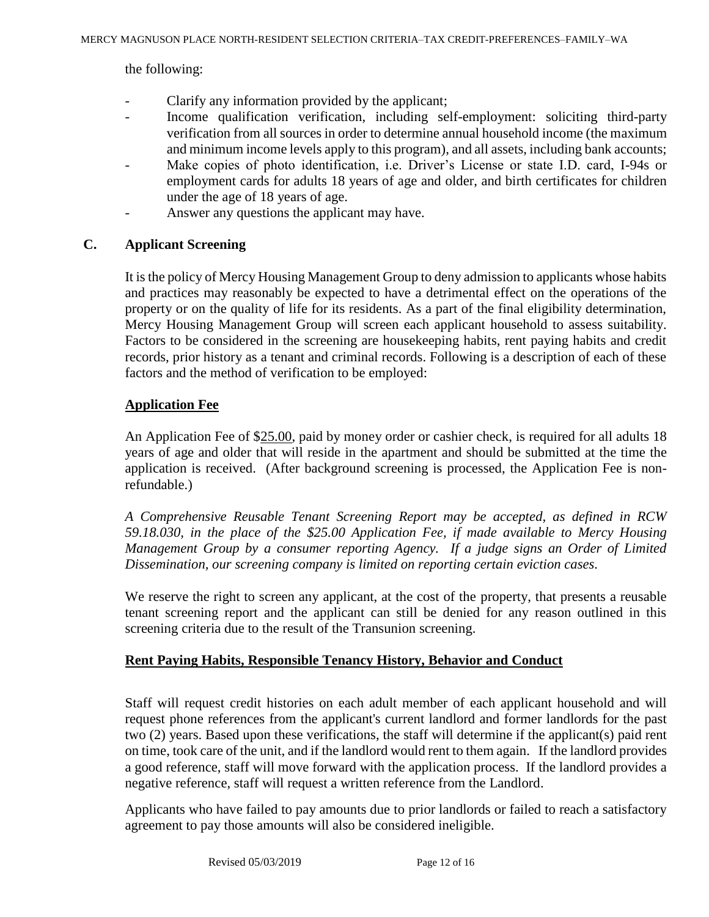the following:

- Clarify any information provided by the applicant;
- Income qualification verification, including self-employment: soliciting third-party verification from all sources in order to determine annual household income (the maximum and minimum income levels apply to this program), and all assets, including bank accounts;
- Make copies of photo identification, i.e. Driver's License or state I.D. card, I-94s or employment cards for adults 18 years of age and older, and birth certificates for children under the age of 18 years of age.
- Answer any questions the applicant may have.

### **C. Applicant Screening**

It is the policy of Mercy Housing Management Group to deny admission to applicants whose habits and practices may reasonably be expected to have a detrimental effect on the operations of the property or on the quality of life for its residents. As a part of the final eligibility determination, Mercy Housing Management Group will screen each applicant household to assess suitability. Factors to be considered in the screening are housekeeping habits, rent paying habits and credit records, prior history as a tenant and criminal records. Following is a description of each of these factors and the method of verification to be employed:

### **Application Fee**

An Application Fee of \$25.00, paid by money order or cashier check, is required for all adults 18 years of age and older that will reside in the apartment and should be submitted at the time the application is received. (After background screening is processed, the Application Fee is nonrefundable.)

*A Comprehensive Reusable Tenant Screening Report may be accepted, as defined in RCW 59.18.030, in the place of the \$25.00 Application Fee, if made available to Mercy Housing Management Group by a consumer reporting Agency. If a judge signs an Order of Limited Dissemination, our screening company is limited on reporting certain eviction cases.*

We reserve the right to screen any applicant, at the cost of the property, that presents a reusable tenant screening report and the applicant can still be denied for any reason outlined in this screening criteria due to the result of the Transunion screening.

# **Rent Paying Habits, Responsible Tenancy History, Behavior and Conduct**

Staff will request credit histories on each adult member of each applicant household and will request phone references from the applicant's current landlord and former landlords for the past two (2) years. Based upon these verifications, the staff will determine if the applicant(s) paid rent on time, took care of the unit, and if the landlord would rent to them again. If the landlord provides a good reference, staff will move forward with the application process. If the landlord provides a negative reference, staff will request a written reference from the Landlord.

Applicants who have failed to pay amounts due to prior landlords or failed to reach a satisfactory agreement to pay those amounts will also be considered ineligible.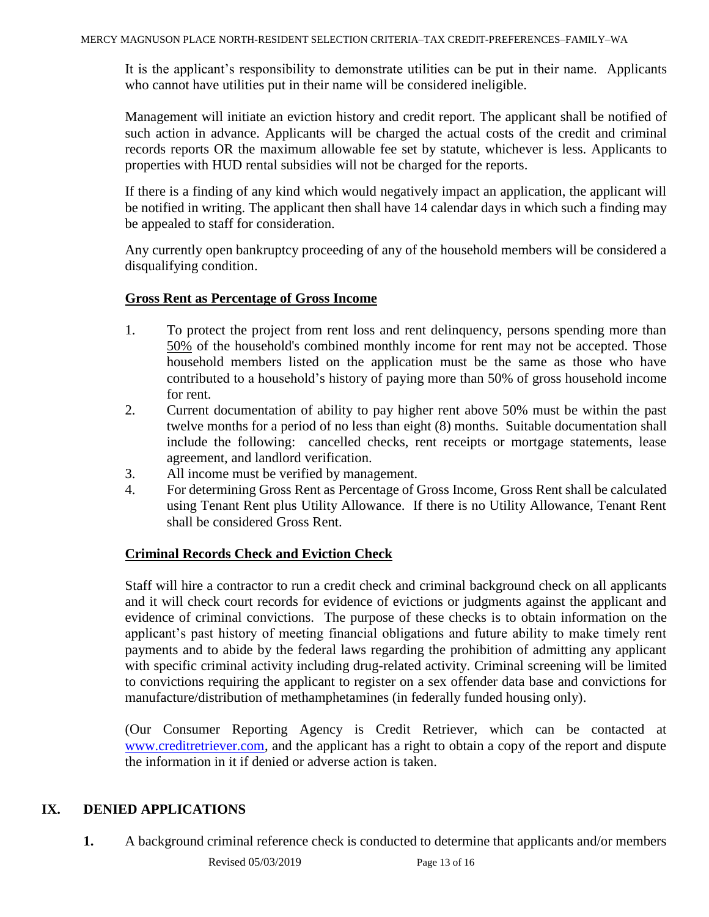It is the applicant's responsibility to demonstrate utilities can be put in their name. Applicants who cannot have utilities put in their name will be considered ineligible.

Management will initiate an eviction history and credit report. The applicant shall be notified of such action in advance. Applicants will be charged the actual costs of the credit and criminal records reports OR the maximum allowable fee set by statute, whichever is less. Applicants to properties with HUD rental subsidies will not be charged for the reports.

If there is a finding of any kind which would negatively impact an application, the applicant will be notified in writing. The applicant then shall have 14 calendar days in which such a finding may be appealed to staff for consideration.

Any currently open bankruptcy proceeding of any of the household members will be considered a disqualifying condition.

### **Gross Rent as Percentage of Gross Income**

- 1. To protect the project from rent loss and rent delinquency, persons spending more than 50% of the household's combined monthly income for rent may not be accepted. Those household members listed on the application must be the same as those who have contributed to a household's history of paying more than 50% of gross household income for rent.
- 2. Current documentation of ability to pay higher rent above 50% must be within the past twelve months for a period of no less than eight (8) months. Suitable documentation shall include the following: cancelled checks, rent receipts or mortgage statements, lease agreement, and landlord verification.
- 3. All income must be verified by management.
- 4. For determining Gross Rent as Percentage of Gross Income, Gross Rent shall be calculated using Tenant Rent plus Utility Allowance. If there is no Utility Allowance, Tenant Rent shall be considered Gross Rent.

# **Criminal Records Check and Eviction Check**

Staff will hire a contractor to run a credit check and criminal background check on all applicants and it will check court records for evidence of evictions or judgments against the applicant and evidence of criminal convictions. The purpose of these checks is to obtain information on the applicant's past history of meeting financial obligations and future ability to make timely rent payments and to abide by the federal laws regarding the prohibition of admitting any applicant with specific criminal activity including drug-related activity. Criminal screening will be limited to convictions requiring the applicant to register on a sex offender data base and convictions for manufacture/distribution of methamphetamines (in federally funded housing only).

(Our Consumer Reporting Agency is Credit Retriever, which can be contacted at [www.creditretriever.com,](http://www.creditretriever.com/) and the applicant has a right to obtain a copy of the report and dispute the information in it if denied or adverse action is taken.

# **IX. DENIED APPLICATIONS**

**1.** A background criminal reference check is conducted to determine that applicants and/or members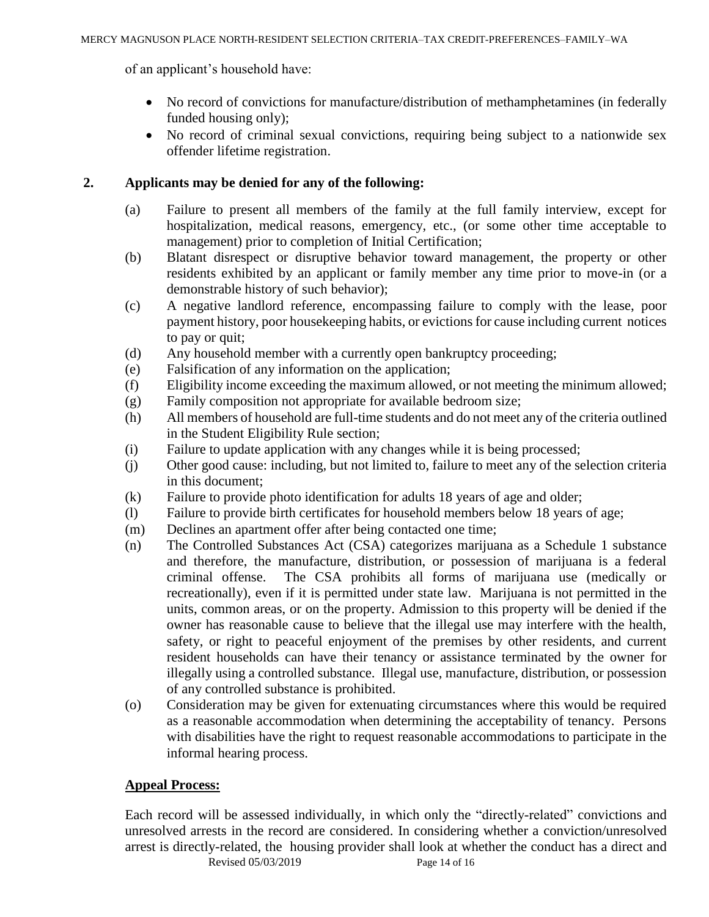of an applicant's household have:

- No record of convictions for manufacture/distribution of methamphetamines (in federally funded housing only);
- No record of criminal sexual convictions, requiring being subject to a nationwide sex offender lifetime registration.

### **2. Applicants may be denied for any of the following:**

- (a) Failure to present all members of the family at the full family interview, except for hospitalization, medical reasons, emergency, etc., (or some other time acceptable to management) prior to completion of Initial Certification;
- (b) Blatant disrespect or disruptive behavior toward management, the property or other residents exhibited by an applicant or family member any time prior to move-in (or a demonstrable history of such behavior);
- (c) A negative landlord reference, encompassing failure to comply with the lease, poor payment history, poor housekeeping habits, or evictions for cause including current notices to pay or quit;
- (d) Any household member with a currently open bankruptcy proceeding;
- (e) Falsification of any information on the application;
- (f) Eligibility income exceeding the maximum allowed, or not meeting the minimum allowed;
- (g) Family composition not appropriate for available bedroom size;
- (h) All members of household are full-time students and do not meet any of the criteria outlined in the Student Eligibility Rule section;
- (i) Failure to update application with any changes while it is being processed;
- (j) Other good cause: including, but not limited to, failure to meet any of the selection criteria in this document;
- (k) Failure to provide photo identification for adults 18 years of age and older;
- (l) Failure to provide birth certificates for household members below 18 years of age;
- (m) Declines an apartment offer after being contacted one time;
- (n) The Controlled Substances Act (CSA) categorizes marijuana as a Schedule 1 substance and therefore, the manufacture, distribution, or possession of marijuana is a federal criminal offense. The CSA prohibits all forms of marijuana use (medically or recreationally), even if it is permitted under state law. Marijuana is not permitted in the units, common areas, or on the property. Admission to this property will be denied if the owner has reasonable cause to believe that the illegal use may interfere with the health, safety, or right to peaceful enjoyment of the premises by other residents, and current resident households can have their tenancy or assistance terminated by the owner for illegally using a controlled substance. Illegal use, manufacture, distribution, or possession of any controlled substance is prohibited.
- (o) Consideration may be given for extenuating circumstances where this would be required as a reasonable accommodation when determining the acceptability of tenancy. Persons with disabilities have the right to request reasonable accommodations to participate in the informal hearing process.

#### **Appeal Process:**

Revised 05/03/2019 Page 14 of 16 Each record will be assessed individually, in which only the "directly-related" convictions and unresolved arrests in the record are considered. In considering whether a conviction/unresolved arrest is directly-related, the housing provider shall look at whether the conduct has a direct and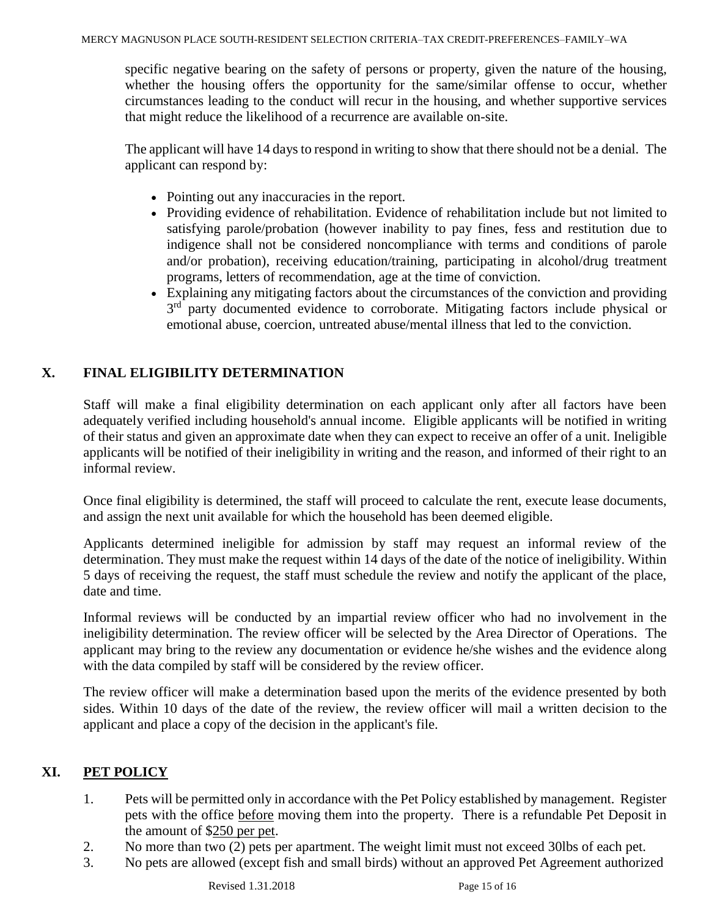specific negative bearing on the safety of persons or property, given the nature of the housing, whether the housing offers the opportunity for the same/similar offense to occur, whether circumstances leading to the conduct will recur in the housing, and whether supportive services that might reduce the likelihood of a recurrence are available on-site.

The applicant will have 14 daysto respond in writing to show that there should not be a denial. The applicant can respond by:

- Pointing out any inaccuracies in the report.
- Providing evidence of rehabilitation. Evidence of rehabilitation include but not limited to satisfying parole/probation (however inability to pay fines, fess and restitution due to indigence shall not be considered noncompliance with terms and conditions of parole and/or probation), receiving education/training, participating in alcohol/drug treatment programs, letters of recommendation, age at the time of conviction.
- Explaining any mitigating factors about the circumstances of the conviction and providing 3<sup>rd</sup> party documented evidence to corroborate. Mitigating factors include physical or emotional abuse, coercion, untreated abuse/mental illness that led to the conviction.

# **X. FINAL ELIGIBILITY DETERMINATION**

Staff will make a final eligibility determination on each applicant only after all factors have been adequately verified including household's annual income. Eligible applicants will be notified in writing of their status and given an approximate date when they can expect to receive an offer of a unit. Ineligible applicants will be notified of their ineligibility in writing and the reason, and informed of their right to an informal review.

Once final eligibility is determined, the staff will proceed to calculate the rent, execute lease documents, and assign the next unit available for which the household has been deemed eligible.

Applicants determined ineligible for admission by staff may request an informal review of the determination. They must make the request within 14 days of the date of the notice of ineligibility. Within 5 days of receiving the request, the staff must schedule the review and notify the applicant of the place, date and time.

Informal reviews will be conducted by an impartial review officer who had no involvement in the ineligibility determination. The review officer will be selected by the Area Director of Operations. The applicant may bring to the review any documentation or evidence he/she wishes and the evidence along with the data compiled by staff will be considered by the review officer.

The review officer will make a determination based upon the merits of the evidence presented by both sides. Within 10 days of the date of the review, the review officer will mail a written decision to the applicant and place a copy of the decision in the applicant's file.

# **XI. PET POLICY**

- 1. Pets will be permitted only in accordance with the Pet Policy established by management. Register pets with the office before moving them into the property. There is a refundable Pet Deposit in the amount of \$250 per pet.
- 2. No more than two (2) pets per apartment. The weight limit must not exceed 30lbs of each pet.
- 3. No pets are allowed (except fish and small birds) without an approved Pet Agreement authorized